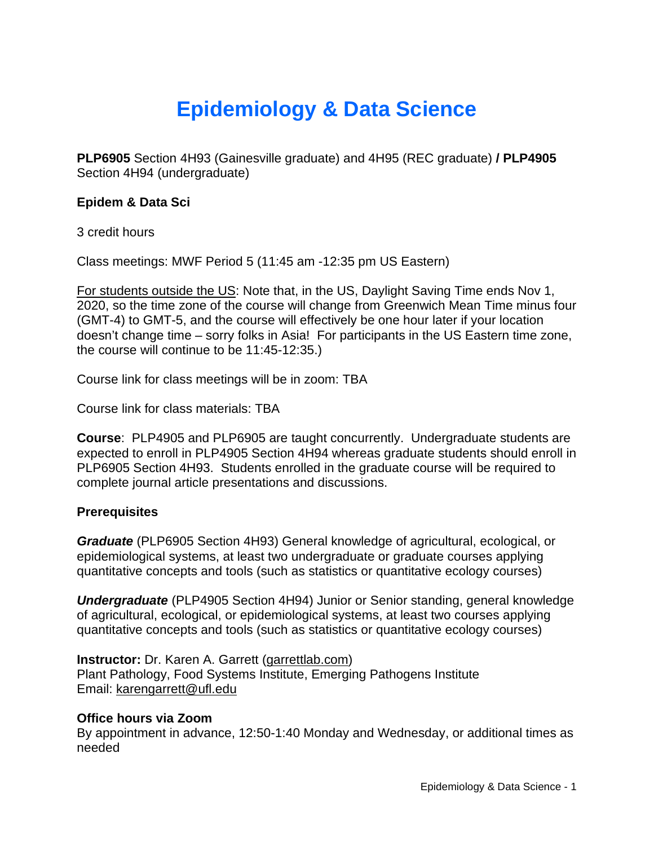# **Epidemiology & Data Science**

**PLP6905** Section 4H93 (Gainesville graduate) and 4H95 (REC graduate) **/ PLP4905**  Section 4H94 (undergraduate)

#### **Epidem & Data Sci**

3 credit hours

Class meetings: MWF Period 5 (11:45 am -12:35 pm US Eastern)

For students outside the US: Note that, in the US, Daylight Saving Time ends Nov 1, 2020, so the time zone of the course will change from Greenwich Mean Time minus four (GMT-4) to GMT-5, and the course will effectively be one hour later if your location doesn't change time – sorry folks in Asia! For participants in the US Eastern time zone, the course will continue to be 11:45-12:35.)

Course link for class meetings will be in zoom: TBA

Course link for class materials: TBA

**Course**: PLP4905 and PLP6905 are taught concurrently. Undergraduate students are expected to enroll in PLP4905 Section 4H94 whereas graduate students should enroll in PLP6905 Section 4H93. Students enrolled in the graduate course will be required to complete journal article presentations and discussions.

#### **Prerequisites**

*Graduate* (PLP6905 Section 4H93) General knowledge of agricultural, ecological, or epidemiological systems, at least two undergraduate or graduate courses applying quantitative concepts and tools (such as statistics or quantitative ecology courses)

*Undergraduate* (PLP4905 Section 4H94) Junior or Senior standing, general knowledge of agricultural, ecological, or epidemiological systems, at least two courses applying quantitative concepts and tools (such as statistics or quantitative ecology courses)

**Instructor:** Dr. Karen A. Garrett [\(garrettlab.com\)](http://www.garrettlab.com/) Plant Pathology, Food Systems Institute, Emerging Pathogens Institute Email: [karengarrett@ufl.edu](mailto:karengarrett@ufl.edu)

#### **Office hours via Zoom**

By appointment in advance, 12:50-1:40 Monday and Wednesday, or additional times as needed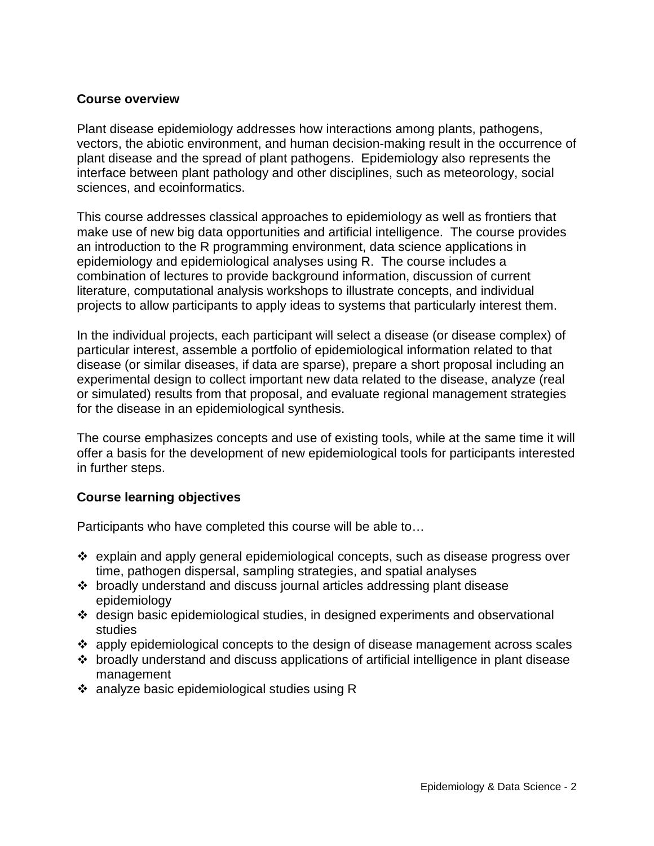#### **Course overview**

Plant disease epidemiology addresses how interactions among plants, pathogens, vectors, the abiotic environment, and human decision-making result in the occurrence of plant disease and the spread of plant pathogens. Epidemiology also represents the interface between plant pathology and other disciplines, such as meteorology, social sciences, and ecoinformatics.

This course addresses classical approaches to epidemiology as well as frontiers that make use of new big data opportunities and artificial intelligence. The course provides an introduction to the R programming environment, data science applications in epidemiology and epidemiological analyses using R. The course includes a combination of lectures to provide background information, discussion of current literature, computational analysis workshops to illustrate concepts, and individual projects to allow participants to apply ideas to systems that particularly interest them.

In the individual projects, each participant will select a disease (or disease complex) of particular interest, assemble a portfolio of epidemiological information related to that disease (or similar diseases, if data are sparse), prepare a short proposal including an experimental design to collect important new data related to the disease, analyze (real or simulated) results from that proposal, and evaluate regional management strategies for the disease in an epidemiological synthesis.

The course emphasizes concepts and use of existing tools, while at the same time it will offer a basis for the development of new epidemiological tools for participants interested in further steps.

#### **Course learning objectives**

Participants who have completed this course will be able to…

- $\div$  explain and apply general epidemiological concepts, such as disease progress over time, pathogen dispersal, sampling strategies, and spatial analyses
- broadly understand and discuss journal articles addressing plant disease epidemiology
- $\div$  design basic epidemiological studies, in designed experiments and observational studies
- $\div$  apply epidemiological concepts to the design of disease management across scales
- broadly understand and discuss applications of artificial intelligence in plant disease management
- analyze basic epidemiological studies using R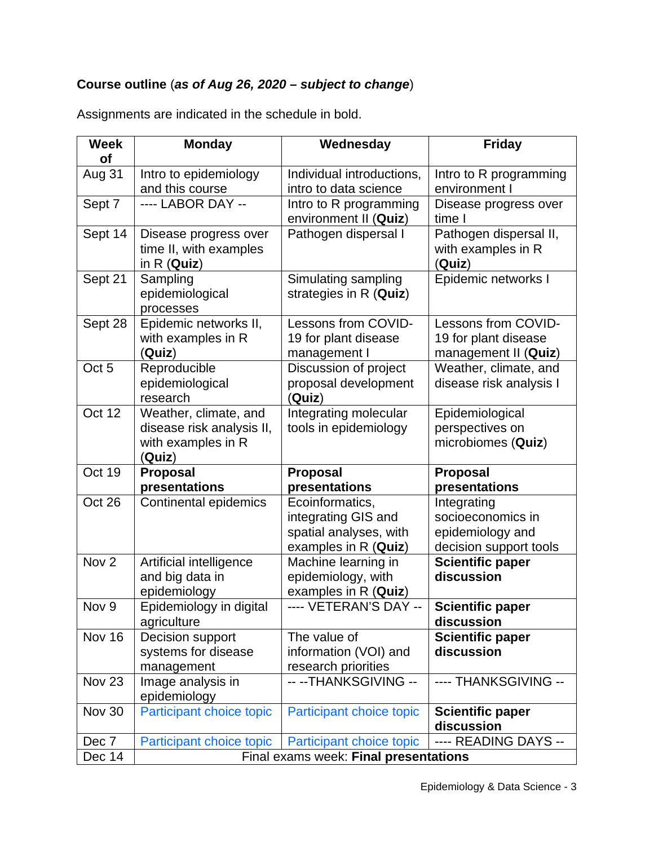# **Course outline** (*as of Aug 26, 2020 – subject to change*)

| <b>Week</b><br>of | <b>Monday</b>                                                                      | Wednesday                                                   | <b>Friday</b>                                                       |
|-------------------|------------------------------------------------------------------------------------|-------------------------------------------------------------|---------------------------------------------------------------------|
| Aug 31            | Intro to epidemiology                                                              | Individual introductions,                                   | Intro to R programming                                              |
|                   | and this course                                                                    | intro to data science                                       | environment I                                                       |
| Sept 7            | ---- LABOR DAY --                                                                  | Intro to R programming<br>environment II (Quiz)             | Disease progress over<br>time                                       |
| Sept 14           | Disease progress over<br>time II, with examples<br>in $R$ (Quiz)                   | Pathogen dispersal I                                        | Pathogen dispersal II,<br>with examples in R<br>(Quiz)              |
| Sept 21           | Sampling<br>epidemiological<br>processes                                           | Simulating sampling<br>strategies in R (Quiz)               | Epidemic networks I                                                 |
| Sept 28           | Epidemic networks II,<br>with examples in R<br>(Quiz)                              | Lessons from COVID-<br>19 for plant disease<br>management I | Lessons from COVID-<br>19 for plant disease<br>management II (Quiz) |
| Oct <sub>5</sub>  | Reproducible<br>epidemiological<br>research                                        | Discussion of project<br>proposal development<br>(Quiz)     | Weather, climate, and<br>disease risk analysis I                    |
| Oct 12            | Weather, climate, and<br>disease risk analysis II,<br>with examples in R<br>(Quiz) | Integrating molecular<br>tools in epidemiology              | Epidemiological<br>perspectives on<br>microbiomes (Quiz)            |
| Oct 19            | <b>Proposal</b><br>presentations                                                   | <b>Proposal</b><br>presentations                            | <b>Proposal</b><br>presentations                                    |
| Oct 26            | <b>Continental epidemics</b>                                                       | Ecoinformatics,                                             | Integrating                                                         |
|                   |                                                                                    | integrating GIS and                                         | socioeconomics in                                                   |
|                   |                                                                                    | spatial analyses, with                                      | epidemiology and                                                    |
|                   |                                                                                    | examples in R (Quiz)                                        | decision support tools                                              |
| Nov <sub>2</sub>  | Artificial intelligence                                                            | Machine learning in                                         | <b>Scientific paper</b>                                             |
|                   | and big data in                                                                    | epidemiology, with                                          | discussion                                                          |
|                   | epidemiology                                                                       | examples in R (Quiz)                                        |                                                                     |
| Nov 9             | Epidemiology in digital                                                            | ---- VETERAN'S DAY --                                       | <b>Scientific paper</b>                                             |
|                   | agriculture                                                                        |                                                             | discussion                                                          |
| Nov 16            | Decision support<br>systems for disease                                            | The value of<br>information (VOI) and                       | <b>Scientific paper</b><br>discussion                               |
|                   | management                                                                         | research priorities                                         |                                                                     |
| <b>Nov 23</b>     | Image analysis in                                                                  | -- -- THANKSGIVING --                                       | ---- THANKSGIVING --                                                |
|                   | epidemiology                                                                       |                                                             |                                                                     |
| <b>Nov 30</b>     | Participant choice topic                                                           | Participant choice topic                                    | <b>Scientific paper</b><br>discussion                               |
| Dec 7             | Participant choice topic                                                           | Participant choice topic                                    | ---- READING DAYS --                                                |
| Dec 14            | Final exams week: Final presentations                                              |                                                             |                                                                     |

Assignments are indicated in the schedule in bold.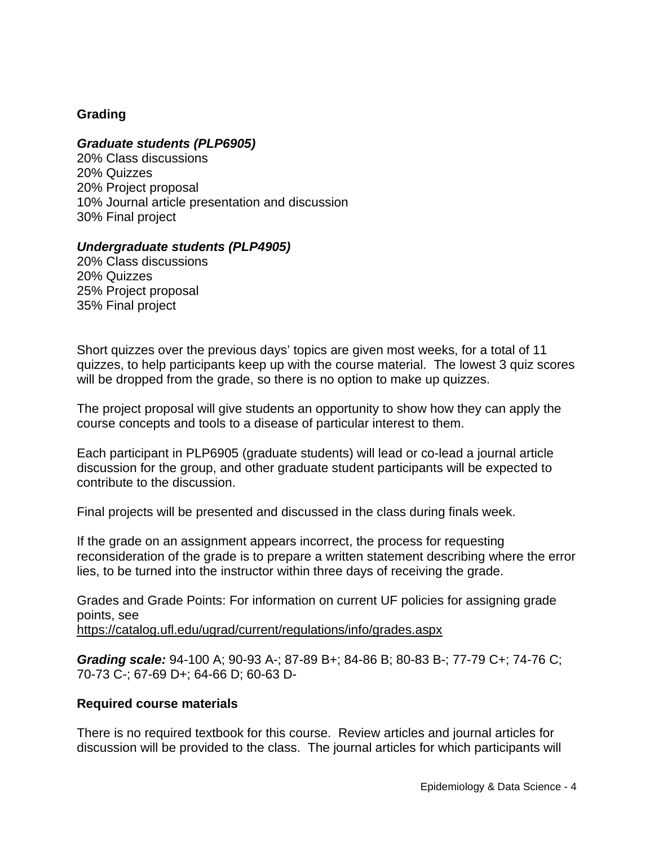# **Grading**

#### *Graduate students (PLP6905)*

20% Class discussions 20% Quizzes 20% Project proposal 10% Journal article presentation and discussion 30% Final project

#### *Undergraduate students (PLP4905)*

20% Class discussions 20% Quizzes 25% Project proposal 35% Final project

Short quizzes over the previous days' topics are given most weeks, for a total of 11 quizzes, to help participants keep up with the course material. The lowest 3 quiz scores will be dropped from the grade, so there is no option to make up quizzes.

The project proposal will give students an opportunity to show how they can apply the course concepts and tools to a disease of particular interest to them.

Each participant in PLP6905 (graduate students) will lead or co-lead a journal article discussion for the group, and other graduate student participants will be expected to contribute to the discussion.

Final projects will be presented and discussed in the class during finals week.

If the grade on an assignment appears incorrect, the process for requesting reconsideration of the grade is to prepare a written statement describing where the error lies, to be turned into the instructor within three days of receiving the grade.

Grades and Grade Points: For information on current UF policies for assigning grade points, see

<https://catalog.ufl.edu/ugrad/current/regulations/info/grades.aspx>

*Grading scale:* 94-100 A; 90-93 A-; 87-89 B+; 84-86 B; 80-83 B-; 77-79 C+; 74-76 C; 70-73 C-; 67-69 D+; 64-66 D; 60-63 D-

#### **Required course materials**

There is no required textbook for this course. Review articles and journal articles for discussion will be provided to the class. The journal articles for which participants will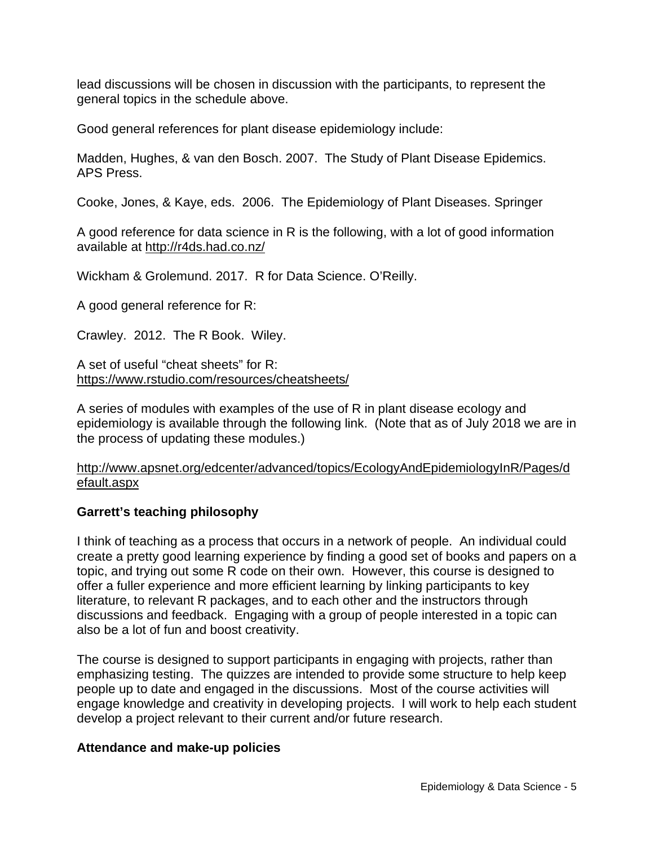lead discussions will be chosen in discussion with the participants, to represent the general topics in the schedule above.

Good general references for plant disease epidemiology include:

Madden, Hughes, & van den Bosch. 2007. The Study of Plant Disease Epidemics. APS Press.

Cooke, Jones, & Kaye, eds. 2006. The Epidemiology of Plant Diseases. Springer

A good reference for data science in R is the following, with a lot of good information available at<http://r4ds.had.co.nz/>

Wickham & Grolemund. 2017. R for Data Science. O'Reilly.

A good general reference for R:

Crawley. 2012. The R Book. Wiley.

A set of useful "cheat sheets" for R: <https://www.rstudio.com/resources/cheatsheets/>

A series of modules with examples of the use of R in plant disease ecology and epidemiology is available through the following link. (Note that as of July 2018 we are in the process of updating these modules.)

#### [http://www.apsnet.org/edcenter/advanced/topics/EcologyAndEpidemiologyInR/Pages/d](http://www.apsnet.org/edcenter/advanced/topics/EcologyAndEpidemiologyInR/Pages/default.aspx) [efault.aspx](http://www.apsnet.org/edcenter/advanced/topics/EcologyAndEpidemiologyInR/Pages/default.aspx)

#### **Garrett's teaching philosophy**

I think of teaching as a process that occurs in a network of people. An individual could create a pretty good learning experience by finding a good set of books and papers on a topic, and trying out some R code on their own. However, this course is designed to offer a fuller experience and more efficient learning by linking participants to key literature, to relevant R packages, and to each other and the instructors through discussions and feedback. Engaging with a group of people interested in a topic can also be a lot of fun and boost creativity.

The course is designed to support participants in engaging with projects, rather than emphasizing testing. The quizzes are intended to provide some structure to help keep people up to date and engaged in the discussions. Most of the course activities will engage knowledge and creativity in developing projects. I will work to help each student develop a project relevant to their current and/or future research.

#### **Attendance and make-up policies**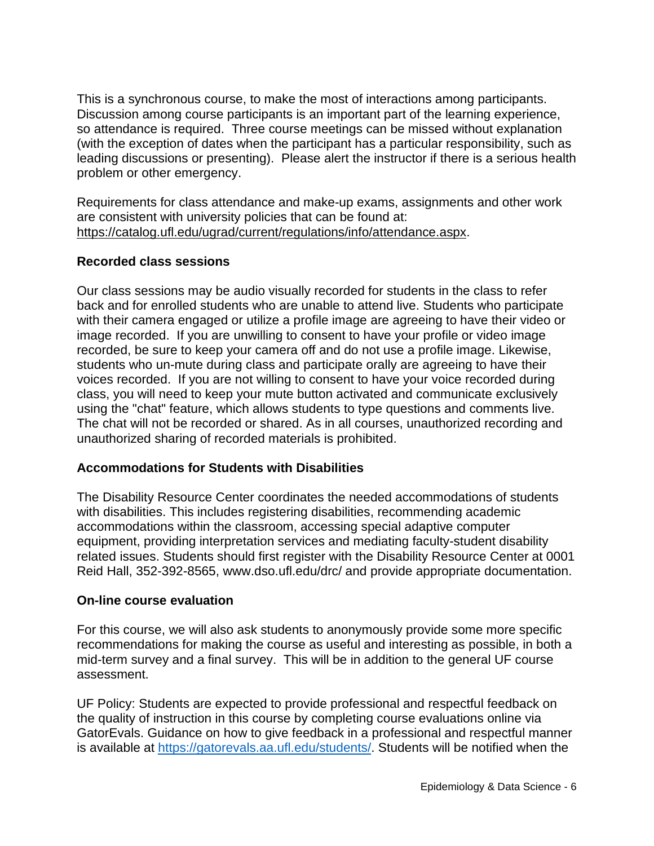This is a synchronous course, to make the most of interactions among participants. Discussion among course participants is an important part of the learning experience, so attendance is required. Three course meetings can be missed without explanation (with the exception of dates when the participant has a particular responsibility, such as leading discussions or presenting). Please alert the instructor if there is a serious health problem or other emergency.

Requirements for class attendance and make-up exams, assignments and other work are consistent with university policies that can be found at: [https://catalog.ufl.edu/ugrad/current/regulations/info/attendance.aspx.](https://catalog.ufl.edu/ugrad/current/regulations/info/attendance.aspx)

# **Recorded class sessions**

Our class sessions may be audio visually recorded for students in the class to refer back and for enrolled students who are unable to attend live. Students who participate with their camera engaged or utilize a profile image are agreeing to have their video or image recorded. If you are unwilling to consent to have your profile or video image recorded, be sure to keep your camera off and do not use a profile image. Likewise, students who un-mute during class and participate orally are agreeing to have their voices recorded. If you are not willing to consent to have your voice recorded during class, you will need to keep your mute button activated and communicate exclusively using the "chat" feature, which allows students to type questions and comments live. The chat will not be recorded or shared. As in all courses, unauthorized recording and unauthorized sharing of recorded materials is prohibited.

#### **Accommodations for Students with Disabilities**

The Disability Resource Center coordinates the needed accommodations of students with disabilities. This includes registering disabilities, recommending academic accommodations within the classroom, accessing special adaptive computer equipment, providing interpretation services and mediating faculty-student disability related issues. Students should first register with the Disability Resource Center at 0001 Reid Hall, 352-392-8565, www.dso.ufl.edu/drc/ and provide appropriate documentation.

#### **On-line course evaluation**

For this course, we will also ask students to anonymously provide some more specific recommendations for making the course as useful and interesting as possible, in both a mid-term survey and a final survey. This will be in addition to the general UF course assessment.

UF Policy: Students are expected to provide professional and respectful feedback on the quality of instruction in this course by completing course evaluations online via GatorEvals. Guidance on how to give feedback in a professional and respectful manner is available at [https://gatorevals.aa.ufl.edu/students/.](https://gatorevals.aa.ufl.edu/students/) Students will be notified when the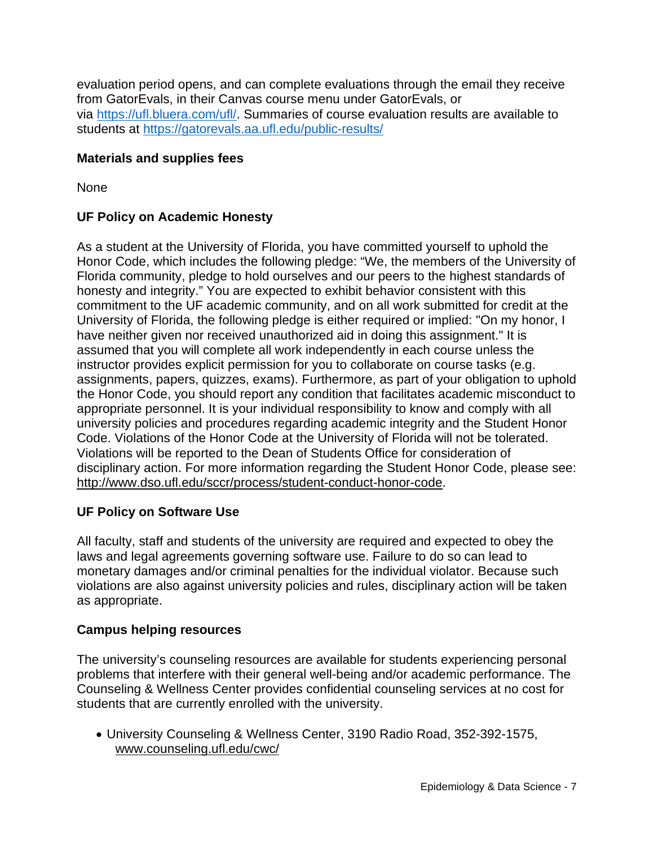evaluation period opens, and can complete evaluations through the email they receive from GatorEvals, in their Canvas course menu under GatorEvals, or via [https://ufl.bluera.com/ufl/.](https://ufl.bluera.com/ufl/) Summaries of course evaluation results are available to students at <https://gatorevals.aa.ufl.edu/public-results/>

# **Materials and supplies fees**

None

# **UF Policy on Academic Honesty**

As a student at the University of Florida, you have committed yourself to uphold the Honor Code, which includes the following pledge: "We, the members of the University of Florida community, pledge to hold ourselves and our peers to the highest standards of honesty and integrity." You are expected to exhibit behavior consistent with this commitment to the UF academic community, and on all work submitted for credit at the University of Florida, the following pledge is either required or implied: "On my honor, I have neither given nor received unauthorized aid in doing this assignment." It is assumed that you will complete all work independently in each course unless the instructor provides explicit permission for you to collaborate on course tasks (e.g. assignments, papers, quizzes, exams). Furthermore, as part of your obligation to uphold the Honor Code, you should report any condition that facilitates academic misconduct to appropriate personnel. It is your individual responsibility to know and comply with all university policies and procedures regarding academic integrity and the Student Honor Code. Violations of the Honor Code at the University of Florida will not be tolerated. Violations will be reported to the Dean of Students Office for consideration of disciplinary action. For more information regarding the Student Honor Code, please see: [http://www.dso.ufl.edu/sccr/process/student-conduct-honor-code.](http://www.dso.ufl.edu/sccr/process/student-conduct-honor-code)

#### **UF Policy on Software Use**

All faculty, staff and students of the university are required and expected to obey the laws and legal agreements governing software use. Failure to do so can lead to monetary damages and/or criminal penalties for the individual violator. Because such violations are also against university policies and rules, disciplinary action will be taken as appropriate.

#### **Campus helping resources**

The university's counseling resources are available for students experiencing personal problems that interfere with their general well-being and/or academic performance. The Counseling & Wellness Center provides confidential counseling services at no cost for students that are currently enrolled with the university.

• University Counseling & Wellness Center, 3190 Radio Road, 352-392-1575, [www.counseling.ufl.edu/cwc/](http://www.counseling.ufl.edu/cwc/)